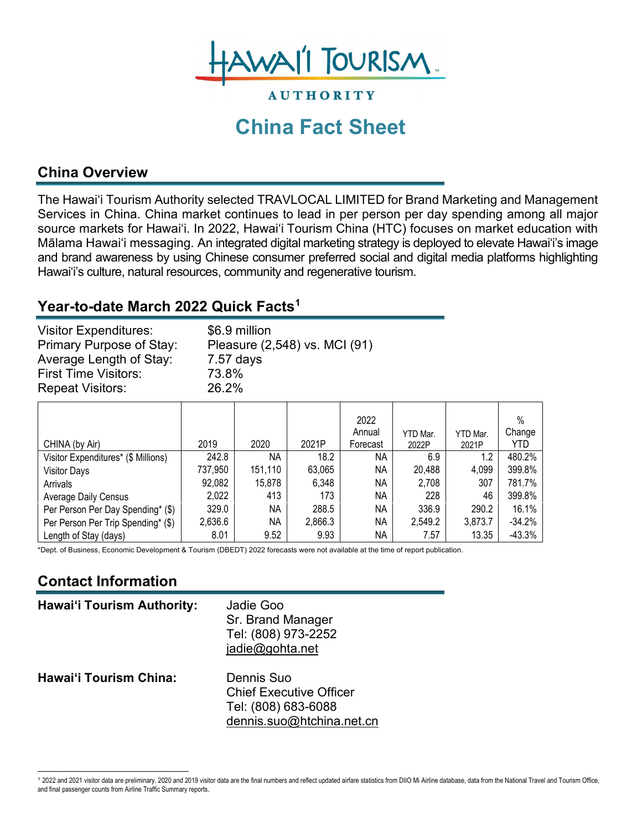

# **China Fact Sheet**

**AUTHORITY** 

### **China Overview**

The Hawai'i Tourism Authority selected TRAVLOCAL LIMITED for Brand Marketing and Management Services in China. China market continues to lead in per person per day spending among all major source markets for Hawai'i. In 2022, Hawai'i Tourism China (HTC) focuses on market education with Mālama Hawai'i messaging. An integrated digital marketing strategy is deployed to elevate Hawai'i's image and brand awareness by using Chinese consumer preferred social and digital media platforms highlighting Hawai'i's culture, natural resources, community and regenerative tourism.

#### **Year-to-date March 2022 Quick Facts[1](#page-0-0)**

| <b>Visitor Expenditures:</b>    | \$6.9 million                 |
|---------------------------------|-------------------------------|
| <b>Primary Purpose of Stay:</b> | Pleasure (2,548) vs. MCI (91) |
| Average Length of Stay:         | $7.57$ days                   |
| <b>First Time Visitors:</b>     | 73.8%                         |
| <b>Repeat Visitors:</b>         | 26.2%                         |

|                                     |         |           |         | 2022<br>Annual | YTD Mar. | YTD Mar. | $\%$<br>Change |
|-------------------------------------|---------|-----------|---------|----------------|----------|----------|----------------|
| CHINA (by Air)                      | 2019    | 2020      | 2021P   | Forecast       | 2022P    | 2021P    | YTD            |
| Visitor Expenditures* (\$ Millions) | 242.8   | <b>NA</b> | 18.2    | NA.            | 6.9      | 1.2      | 480.2%         |
| <b>Visitor Days</b>                 | 737,950 | 151,110   | 63,065  | NA             | 20,488   | 4,099    | 399.8%         |
| Arrivals                            | 92,082  | 15,878    | 6,348   | NA             | 2,708    | 307      | 781.7%         |
| <b>Average Daily Census</b>         | 2,022   | 413       | 173     | NA.            | 228      | 46       | 399.8%         |
| Per Person Per Day Spending* (\$)   | 329.0   | <b>NA</b> | 288.5   | <b>NA</b>      | 336.9    | 290.2    | 16.1%          |
| Per Person Per Trip Spending* (\$)  | 2,636.6 | <b>NA</b> | 2,866.3 | NА             | 2,549.2  | 3,873.7  | $-34.2%$       |
| Length of Stay (days)               | 8.01    | 9.52      | 9.93    | NА             | 7.57     | 13.35    | $-43.3%$       |

\*Dept. of Business, Economic Development & Tourism (DBEDT) 2022 forecasts were not available at the time of report publication.

# **Contact Information**

| <b>Hawai'i Tourism Authority:</b> | Jadie Goo<br>Sr. Brand Manager<br>Tel: (808) 973-2252<br>jadie@gohta.net                         |
|-----------------------------------|--------------------------------------------------------------------------------------------------|
| <b>Hawai'i Tourism China:</b>     | Dennis Suo<br><b>Chief Executive Officer</b><br>Tel: (808) 683-6088<br>dennis.suo@htchina.net.cn |

<span id="page-0-0"></span><sup>1</sup> 2022 and 2021 visitor data are preliminary. 2020 and 2019 visitor data are the final numbers and reflect updated airfare statistics from DIIO Mi Airline database, data from the National Travel and Tourism Office, and final passenger counts from Airline Traffic Summary reports.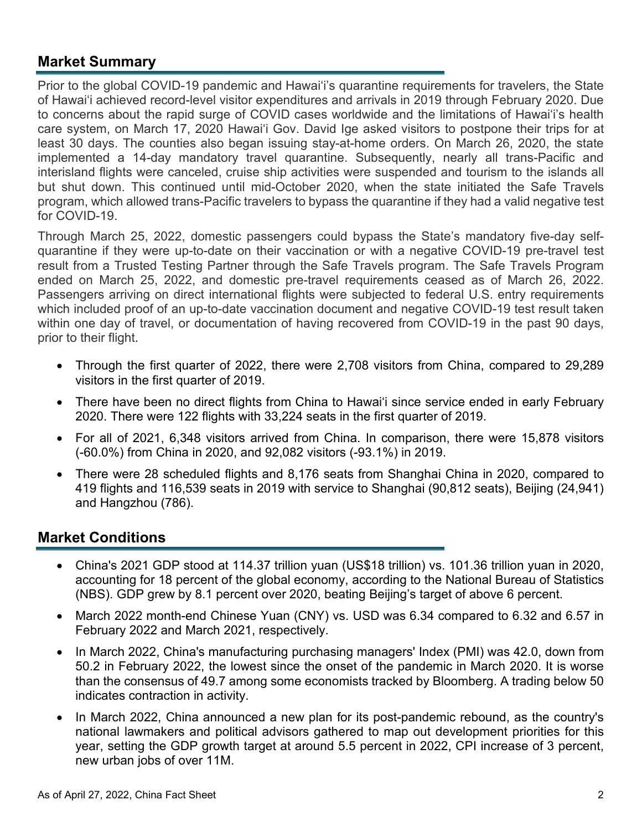#### **Market Summary**

Prior to the global COVID-19 pandemic and Hawai'i's quarantine requirements for travelers, the State of Hawai'i achieved record-level visitor expenditures and arrivals in 2019 through February 2020. Due to concerns about the rapid surge of COVID cases worldwide and the limitations of Hawai'i's health care system, on March 17, 2020 Hawai'i Gov. David Ige asked visitors to [postpone their trips](https://www.staradvertiser.com/2020/03/17/breaking-news/hawaii-records-4-more-cases-of-coronavirus-including-big-islands-first-case/) for at least 30 days. The counties also began issuing stay-at-home orders. On March 26, 2020, the state implemented a 14-day mandatory travel quarantine. Subsequently, nearly all trans-Pacific and interisland flights were canceled, cruise ship activities were suspended and tourism to the islands all but shut down. This continued until mid-October 2020, when the state initiated the Safe Travels program, which allowed trans-Pacific travelers to bypass the quarantine if they had a valid negative test for COVID-19.

Through March 25, 2022, domestic passengers could bypass the State's mandatory five-day selfquarantine if they were up-to-date on their vaccination or with a negative COVID-19 pre-travel test result from a Trusted Testing Partner through the Safe Travels program. The Safe Travels Program ended on March 25, 2022, and domestic pre-travel requirements ceased as of March 26, 2022. Passengers arriving on direct international flights were subjected to federal U.S. entry requirements which included proof of an up-to-date vaccination document and negative COVID-19 test result taken within one day of travel, or documentation of having recovered from COVID-19 in the past 90 days, prior to their flight.

- Through the first quarter of 2022, there were 2,708 visitors from China, compared to 29,289 visitors in the first quarter of 2019.
- There have been no direct flights from China to Hawai'i since service ended in early February 2020. There were 122 flights with 33,224 seats in the first quarter of 2019.
- For all of 2021, 6,348 visitors arrived from China. In comparison, there were 15,878 visitors (-60.0%) from China in 2020, and 92,082 visitors (-93.1%) in 2019.
- There were 28 scheduled flights and 8,176 seats from Shanghai China in 2020, compared to 419 flights and 116,539 seats in 2019 with service to Shanghai (90,812 seats), Beijing (24,941) and Hangzhou (786).

#### **Market Conditions**

- China's 2021 GDP stood at 114.37 trillion yuan (US\$18 trillion) vs. 101.36 trillion yuan in 2020, accounting for 18 percent of the global economy, according to the National Bureau of Statistics (NBS). GDP grew by 8.1 percent over 2020, beating Beijing's target of above 6 percent.
- March 2022 month-end Chinese Yuan (CNY) vs. USD was 6.34 compared to 6.32 and 6.57 in February 2022 and March 2021, respectively.
- In March 2022, China's manufacturing purchasing managers' Index (PMI) was 42.0, down from 50.2 in February 2022, the lowest since the onset of the pandemic in March 2020. It is worse than the consensus of 49.7 among some economists tracked by Bloomberg. A trading below 50 indicates contraction in activity.
- In March 2022, China announced a new plan for its post-pandemic rebound, as the country's national lawmakers and political advisors gathered to map out development priorities for this year, setting the GDP growth target at around 5.5 percent in 2022, CPI increase of 3 percent, new urban jobs of over 11M.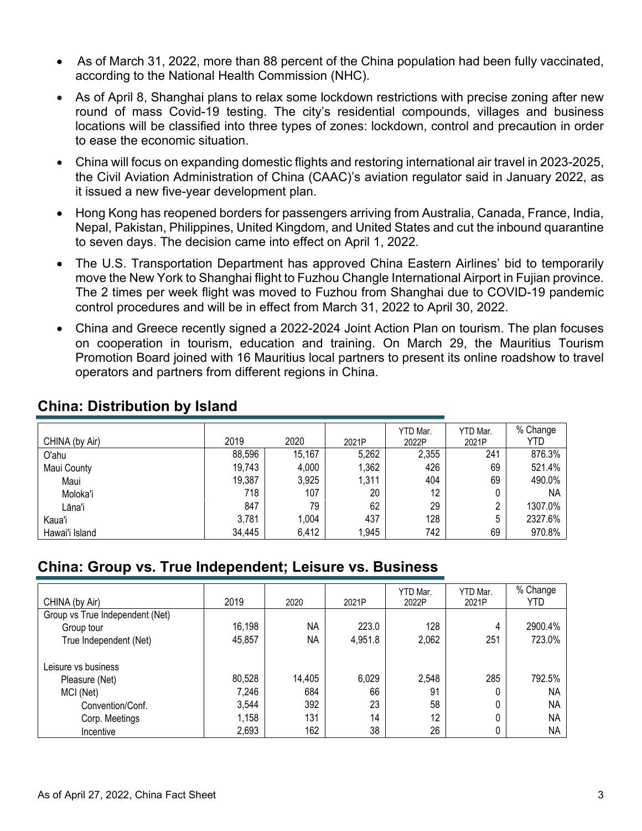- As of March 31, 2022, more than 88 percent of the China population had been fully vaccinated, according to the National Health Commission (NHC).
- As of April 8, Shanghai plans to relax some lockdown restrictions with precise zoning after new round of mass Covid-19 testing. The city's residential compounds, villages and business locations will be classified into three types of zones: lockdown, control and precaution in order to ease the economic situation.
- China will focus on expanding domestic flights and restoring international air travel in 2023-2025, the Civil Aviation Administration of China (CAAC)'s aviation regulator said in January 2022, as it issued a new five-year development plan.
- Hong Kong has reopened borders for passengers arriving from Australia, Canada, France, India, Nepal, Pakistan, Philippines, United Kingdom, and United States and cut the inbound quarantine to seven days. The decision came into effect on April 1, 2022.
- The U.S. Transportation Department has approved China Eastern Airlines' bid to temporarily move the New York to Shanghai flight to Fuzhou Changle International Airport in Fujian province. The 2 times per week flight was moved to Fuzhou from Shanghai due to COVID-19 pandemic control procedures and will be in effect from March 31, 2022 to April 30, 2022.
- China and Greece recently signed a 2022-2024 Joint Action Plan on tourism. The plan focuses on cooperation in tourism, education and training. On March 29, the Mauritius Tourism Promotion Board joined with 16 Mauritius local partners to present its online roadshow to travel operators and partners from different regions in China.

| CHINA (by Air) | 2019   | 2020   | 2021P | YTD Mar.<br>2022P | YTD Mar.<br>2021P | % Change<br>YTD |
|----------------|--------|--------|-------|-------------------|-------------------|-----------------|
| O'ahu          | 88,596 | 15,167 | 5,262 | 2,355             | 241               | 876.3%          |
| Maui County    | 19,743 | 4,000  | 1,362 | 426               | 69                | 521.4%          |
| Maui           | 19,387 | 3,925  | 1,311 | 404               | 69                | 490.0%          |
| Moloka'i       | 718    | 107    | 20    | 12                | 0                 | NA              |
| Lāna'i         | 847    | 79     | 62    | 29                | n                 | 1307.0%         |
| Kaua'i         | 3,781  | 1,004  | 437   | 128               | 5                 | 2327.6%         |
| Hawai'i Island | 34,445 | 6,412  | 1,945 | 742               | 69                | 970.8%          |

#### **China: Distribution by Island**

#### **China: Group vs. True Independent; Leisure vs. Business**

| CHINA (by Air)                  | 2019   | 2020   | 2021P   | YTD Mar.<br>2022P | YTD Mar.<br>2021P | % Change<br>YTD |
|---------------------------------|--------|--------|---------|-------------------|-------------------|-----------------|
| Group vs True Independent (Net) |        |        |         |                   |                   |                 |
| Group tour                      | 16,198 | NA     | 223.0   | 128               | 4                 | 2900.4%         |
| True Independent (Net)          | 45,857 | NА     | 4,951.8 | 2,062             | 251               | 723.0%          |
| Leisure vs business             |        |        |         |                   |                   |                 |
| Pleasure (Net)                  | 80,528 | 14,405 | 6,029   | 2,548             | 285               | 792.5%          |
| MCI (Net)                       | 7,246  | 684    | 66      | 91                | 0                 | NA              |
| Convention/Conf.                | 3,544  | 392    | 23      | 58                | 0                 | NA              |
| Corp. Meetings                  | 1,158  | 131    | 14      | 12                | 0                 | NA              |
| Incentive                       | 2,693  | 162    | 38      | 26                |                   | <b>NA</b>       |